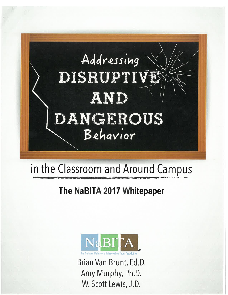

# in the Classroom and Around Campus

### The NaBITA 2017 Whitepaper



Brian Van Brunt, Ed.D. Amy Murphy, Ph.D. W. Scott Lewis, J.D.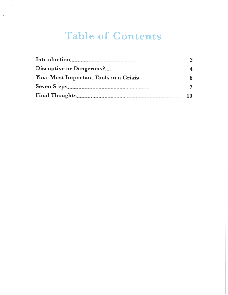# **Table of Contents**

 $\sim$ 

| Introduction European Communication and the Communication of the Communication of the Communication of the Communication of the Communication of the Communication of the Communication of the Communication of the Communicat |    |
|--------------------------------------------------------------------------------------------------------------------------------------------------------------------------------------------------------------------------------|----|
|                                                                                                                                                                                                                                |    |
| Your Most Important Tools in a Crisis 6                                                                                                                                                                                        |    |
|                                                                                                                                                                                                                                |    |
|                                                                                                                                                                                                                                | 10 |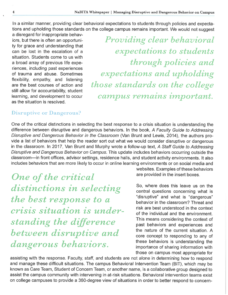In a similar manner, providing clear behavioral expectations to students through policies and expectations and upholding those standards on the college campus remains important. We would not suggest

a disregard for inappropriate behaviors, but there is often an opportunity for grace and understanding that can be lost in the escalation of a situation. Students come to us with a broad array of previous life experiences, including past experiences of trauma and abuse. Sometimes flexibility, empathy, and listening are the best courses of action and still allow for accountability, student learning, and development to occur as the situation is resolved.

Providing clear behavioral *expectations to students* through policies and expectations and upholding those standards on the college campus remains important.

#### **Disruptive or Dangerous?**

One of the critical distinctions in selecting the best response to a crisis situation is understanding the difference between disruptive and dangerous behaviors. In the book, A Faculty Guide to Addressing Disruptive and Dangerous Behavior in the Classroom (Van Brunt and Lewis, 2014), the authors provide a list of behaviors that help the reader sort out what we would consider disruptive or dangerous in the classroom. In 2017, Van Brunt and Murphy wrote a follow-up text, A Staff Guide to Addressing Disruptive and Dangerous Behavior on Campus. This update includes behaviors occurring outside the classroom—in front offices, advisor settings, residence halls, and student activity environments. It also includes behaviors that are more likely to occur in online learning environments or on social media and

One of the critical distinctions in selecting the best response to a crisis situation is understanding the difference between disruptive and dangerous behaviors.

websites. Examples of these behaviors are provided in the insert boxes.

So, where does this leave us on the central questions concerning what is "disruptive" and what is "dangerous" behavior in the classroom? Threat and risk are best understood in the context of the individual and the environment. This means considering the context of past behaviors and experiences and the nature of the current situation. A core concept to responding to any of these behaviors is understanding the importance of sharing information with those on campus most appropriate for

assisting with the response. Faculty, staff, and students are not alone in determining how to respond and manage these difficult situations. The campus Behavioral Intervention Team (BIT), which may be known as Care Team, Student of Concern Team, or another name, is a collaborative group designed to assist the campus community with intervening in at-risk situations. Behavioral intervention teams exist on college campuses to provide a 360-degree view of situations in order to better respond to concern-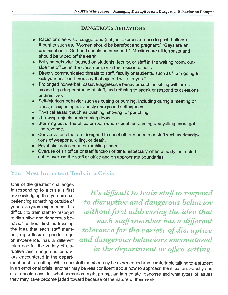#### **DANGEROUS BEHAVIORS**

- Racist or otherwise exaggerated (not just expressed once to push buttons) thoughts such as, "Women should be barefoot and pregnant," "Gays are an abomination to God and should be punished," "Muslims are all terrorists and should be wiped off the earth."
- Bullying behavior focused on students, faculty, or staff in the waiting room, outside the office, in the classroom, or in the residence halls.
- Directly communicated threats to staff, faculty or students, such as "I am going to kick your ass" or "If you say that again, I will end you."
- Prolonged nonverbal, passive-aggressive behavior such as sitting with arms crossed, glaring or staring at staff, and refusing to speak or respond to questions or directives.
- Self-injurious behavior such as cutting or burning, including during a meeting or class, or exposing previously unexposed self-injuries.
- Physical assault such as pushing, shoving, or punching.
- Throwing objects or slamming doors.
- Storming out of the office or room when upset, screaming and yelling about getting revenge.
- Conversations that are designed to upset other students or staff such as descriptions of weapons, killing, or death.
- Psychotic, delusional, or rambling speech.
- Overuse of an office or staff function or time; especially when already instructed not to overuse the staff or office and on appropriate boundaries.

### Your Most Important Tools in a Crisis

One of the greatest challenges in responding to a crisis is first acknowledging that you are experiencing something outside of your everyday experience. It's difficult to train staff to respond to disruptive and dangerous behavior without first addressing the idea that each staff member, regardless of gender, age or experience, has a different tolerance for the variety of disruptive and dangerous behaviors encountered in the depart-

It's difficult to train staff to respond to disruptive and dangerous behavior without first addressing the idea that each staff member has a different tolerance for the variety of disruptive and dangerous behaviors encountered in the department or office setting.

ment or office setting. While one staff member may be experienced and comfortable talking to a student in an emotional crisis, another may be less confident about how to approach the situation. Faculty and staff should consider what scenarios might prompt an immediate response and what types of issues they may have become jaded toward because of the nature of their work.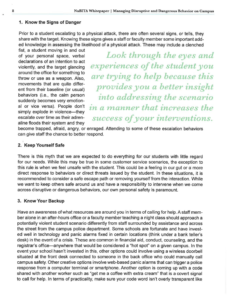#### 1. Know the Signs of Danger

Prior to a student escalating to a physical attack, there are often several signs, or tells, they share with the target. Knowing these signs gives a staff or faculty member some important added knowledge in assessing the likelihood of a physical attack. These may include a clenched

fist, a student moving in and out of your personal space, verbal declarations of an intention to act violently, and the target glancing around the office for something to throw or use as a weapon. Also, movements that are quite different from their baseline (or usual) behaviors (i.e., the calm person suddenly becomes very emotional or vice versa). People don't simply explode in violence—they escalate over time as their adrenaline floods their system and they

Look through the eyes and experiences of the student you are trying to help because this provides you a better insight into addressing the scenario in a manner that increases the success of your interventions.

become trapped, afraid, angry, or enraged. Attending to some of these escalation behaviors can give staff the chance to better respond.

#### 2. Keep Yourself Safe

There is this myth that we are expected to do everything for our students with little regard for our needs. While this may be true in some customer service scenarios, the exception to this rule is when we feel unsafe with the student. This could be a feeling in our gut or a more direct response to behaviors or direct threats issued by the student. In these situations, it is recommended to consider a safe escape path or removing yourself from the interaction. While we want to keep others safe around us and have a responsibility to intervene when we come across disruptive or dangerous behaviors, our own personal safety is paramount.

#### 3. Know Your Backup

Have an awareness of what resources are around you in terms of calling for help. A staff member alone in an after-hours office or a faculty member teaching a night class should approach a potentially violent student scenario differently from staff surrounded by assistance and across the street from the campus police department. Some schools are fortunate and have invested well in technology and panic alarms fixed in certain locations (think under a bank teller's desk) in the event of a crisis. These are common in financial aid, conduct, counseling, and the registrar's office—anywhere that would be considered a "hot spot" on a given campus. In the event your school hasn't invested in this, other options could involve using a wireless doorbell situated at the front desk connected to someone in the back office who could manually call campus safety. Other creative options involve web-based panic alarms that can trigger a police response from a computer terminal or smartphone. Another option is coming up with a code shared with another worker such as "get me a coffee with extra cream" that is a covert signal to call for help. In terms of practicality, make sure your code word isn't overly transparent like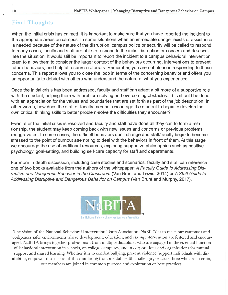### **Final Thoughts**

When the initial crisis has calmed, it is important to make sure that you have reported the incident to the appropriate areas on campus. In some situations when an immediate danger exists or assistance is needed because of the nature of the disruption, campus police or security will be called to respond. In many cases, faculty and staff are able to respond to the initial disruption or concern and de-escalate the situation. It would still be important to report the incident to a campus behavioral intervention team to allow them to consider the larger context of the behaviors occurring, interventions to prevent future behaviors, and helpful resource referrals. Remember, you are not alone in responding to these concerns. This report allows you to close the loop in terms of the concerning behavior and offers you an opportunity to debrief with others who understand the nature of what you experienced.

Once the initial crisis has been addressed, faculty and staff can adapt a bit more of a supportive role with the student, helping them with problem-solving and overcoming obstacles. This should be done with an appreciation for the values and boundaries that are set forth as part of the job description. In other words, how does the staff or faculty member encourage the student to begin to develop their own critical thinking skills to better problem-solve the difficulties they encounter?

Even after the initial crisis is resolved and faculty and staff have done all they can to form a relationship, the student may keep coming back with new issues and concerns or previous problems reaggravated. In some cases, the difficult behaviors don't change and staff/faculty begin to become stressed to the point of burnout attempting to deal with the behaviors in front of them. At this stage, we encourage the use of additional resources, exploring supportive philosophies such as positive psychology, goal-setting, and building self-care capacity for staff and departments.

For more in-depth discussion, including case studies and scenarios, faculty and staff can reference one of two books available from the authors of the whitepaper: A Faculty Guide to Addressing Disruptive and Dangerous Behavior in the Classroom (Van Brunt and Lewis, 2014) or A Staff Guide to Addressing Disruptive and Dangerous Behavior on Campus (Van Brunt and Murphy, 2017).



The vision of the National Behavioral Intervention Team Association (NaBITA) is to make our campuses and workplaces safer environments where development, education, and caring intervention are fostered and encouraged. NaBITA brings together professionals from multiple disciplines who are engaged in the essential function of behavioral intervention in schools, on college campuses, and in corporations and organizations for mutual support and shared learning. Whether it is to combat bullying, prevent violence, support individuals with disabilities, empower the success of those suffering from mental health challenges, or assist those who are in crisis, our members are joined in common purpose and exploration of best practices.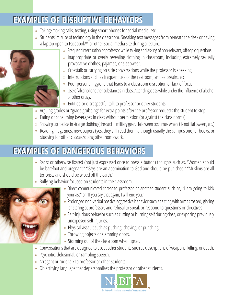## **EXAMPLES OF DISRUPTIVE BEHAVIORS**

- » Taking/making calls, texting, using smart phones for social media, etc.
- » Students' misuse of technology in the classroom. Sneaking text messages from beneath the desk or having a laptop open to Facebook™ or other social media site during a lecture.



- » Inappropriate or overly revealing clothing in classroom, including extremely sexually provocative clothes, pajamas, or sleepwear.
- » Crosstalk or carrying on side conversations while the professor is speaking.
- » Interruptions such as frequent use of the restroom, smoke breaks, etc.
- » Poor personal hygiene that leads to a classroom disruption or lack of focus.
- » Use of alcohol or other substances in class. Attending class while under the influence of alcohol or other drugs.
- » Entitled or disrespectful talk to professor or other students.
- » Arguing grades or "grade grubbing" for extra points after the professor requests the student to stop.
- » Eating or consuming beverages in class without permission (or against the class norms).
- » Showing up to class in strange clothing (dressed in military gear, Halloween costumes when it is not Halloween, etc.)
- » Reading magazines, newspapers (yes, they still read them, although usually the campus one) or books, or studying for other classes/doing other homework.

### **EXAMPLES OF DANGEROUS BEHAVIORS**

- » Racist or otherwise fixated (not just expressed once to press a button) thoughts such as, "Women should be barefoot and pregnant," "Gays are an abomination to God and should be punished," "Muslims are all terrorists and should be wiped off the earth."
- » Bullying behavior focused on students in the classroom.



- » Direct communicated threat to professor or another student such as, "I am going to kick your ass" or "If you say that again, I will end you."
	- » Prolonged non-verbal passive-aggressive behavior such as sitting with arms crossed, glaring or staring at professor, and refusal to speak or respond to questions or directives.
	- » Self-injurious behavior such as cutting or burning self during class, or exposing previously unexposed self-injuries.
	- » Physical assault such as pushing, shoving, or punching.
	- » Throwing objects or slamming doors.
	- » Storming out of the classroom when upset.
- » Conversations that are designed to upset other students such as descriptions of weapons, killing, or death.
- » Psychotic, delusional, or rambling speech.
- » Arrogant or rude talk to professor or other students.
- » Objectifying language that depersonalizes the professor or other students.